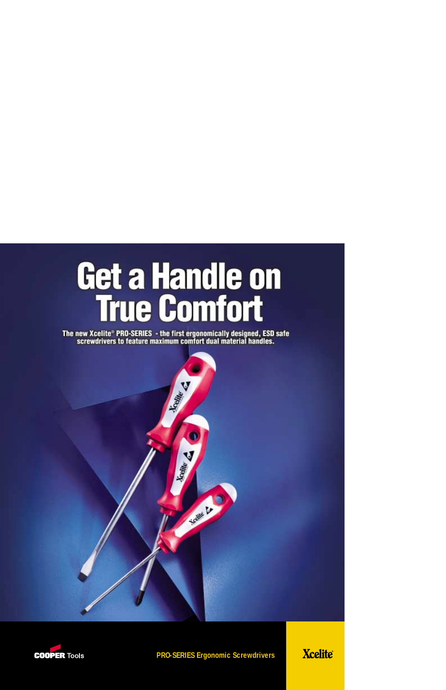## Get a Handle on<br>True Comfort

The new Xcelite® PRO-SERIES - the first ergonomically designed, ESD safe<br>screwdrivers to feature maximum comfort dual material handles.





**PRO-SERIES Ergonomic Screwdrivers**

**Xcelite®**